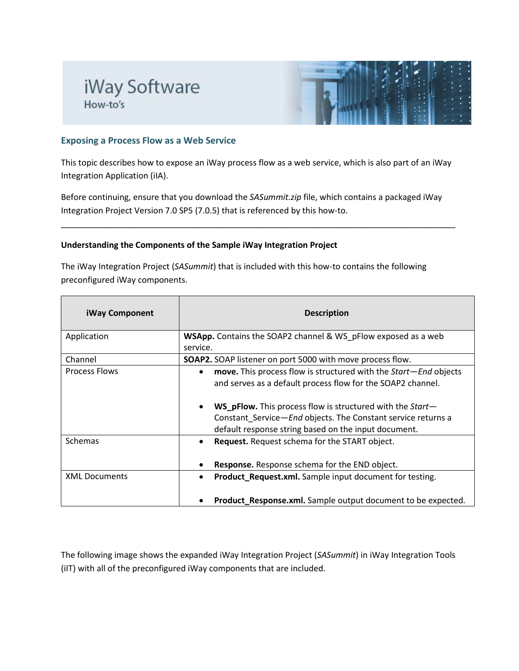# iWay Software How-to's



## **Exposing a Process Flow as a Web Service**

This topic describes how to expose an iWay process flow as a web service, which is also part of an iWay Integration Application (iIA).

Before continuing, ensure that you download the *SASummit.zip* file, which contains a packaged iWay Integration Project Version 7.0 SP5 (7.0.5) that is referenced by this how-to.

\_\_\_\_\_\_\_\_\_\_\_\_\_\_\_\_\_\_\_\_\_\_\_\_\_\_\_\_\_\_\_\_\_\_\_\_\_\_\_\_\_\_\_\_\_\_\_\_\_\_\_\_\_\_\_\_\_\_\_\_\_\_\_\_\_\_\_\_\_\_\_\_\_\_\_\_\_\_\_\_\_\_\_\_\_

### **Understanding the Components of the Sample iWay Integration Project**

The iWay Integration Project (*SASummit*) that is included with this how-to contains the following preconfigured iWay components.

| <b>iWay Component</b> | <b>Description</b>                                                                                                                                                                                    |  |  |
|-----------------------|-------------------------------------------------------------------------------------------------------------------------------------------------------------------------------------------------------|--|--|
| Application           | <b>WSApp.</b> Contains the SOAP2 channel & WS_pFlow exposed as a web<br>service.                                                                                                                      |  |  |
| Channel               | SOAP2. SOAP listener on port 5000 with move process flow.                                                                                                                                             |  |  |
| <b>Process Flows</b>  | move. This process flow is structured with the Start-End objects<br>$\bullet$<br>and serves as a default process flow for the SOAP2 channel.                                                          |  |  |
|                       | <b>WS_pFlow.</b> This process flow is structured with the Start-<br>$\bullet$<br>Constant Service-End objects. The Constant service returns a<br>default response string based on the input document. |  |  |
| <b>Schemas</b>        | Request. Request schema for the START object.<br>$\bullet$                                                                                                                                            |  |  |
|                       | Response. Response schema for the END object.                                                                                                                                                         |  |  |
| <b>XML Documents</b>  | Product_Request.xml. Sample input document for testing.<br>$\bullet$                                                                                                                                  |  |  |
|                       | Product_Response.xml. Sample output document to be expected.                                                                                                                                          |  |  |

The following image shows the expanded iWay Integration Project (*SASummit*) in iWay Integration Tools (iIT) with all of the preconfigured iWay components that are included.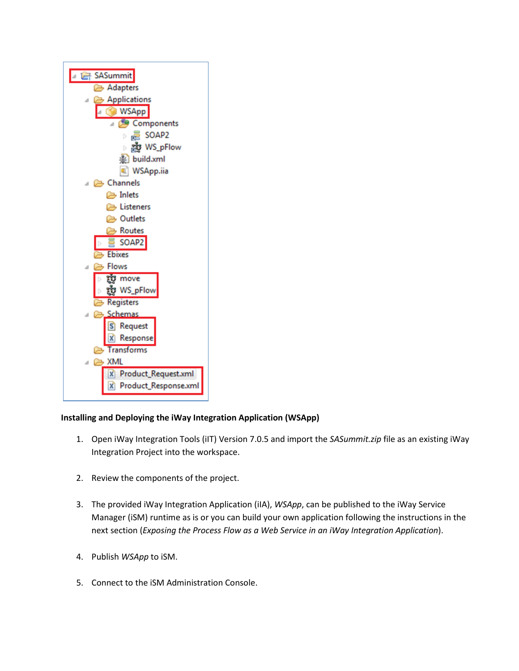

# **Installing and Deploying the iWay Integration Application (WSApp)**

- 1. Open iWay Integration Tools (iIT) Version 7.0.5 and import the *SASummit.zip* file as an existing iWay Integration Project into the workspace.
- 2. Review the components of the project.
- 3. The provided iWay Integration Application (iIA), *WSApp*, can be published to the iWay Service Manager (iSM) runtime as is or you can build your own application following the instructions in the next section (*Exposing the Process Flow as a Web Service in an iWay Integration Application*).
- 4. Publish *WSApp* to iSM.
- 5. Connect to the iSM Administration Console.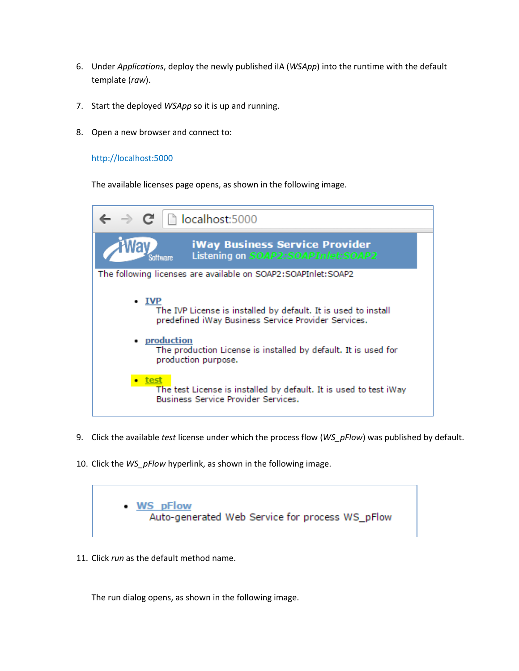- 6. Under *Applications*, deploy the newly published iIA (*WSApp*) into the runtime with the default template (*raw*).
- 7. Start the deployed *WSApp* so it is up and running.
- 8. Open a new browser and connect to:

### http://localhost:5000

The available licenses page opens, as shown in the following image.



- 9. Click the available *test* license under which the process flow (*WS\_pFlow*) was published by default.
- 10. Click the *WS\_pFlow* hyperlink, as shown in the following image.



11. Click *run* as the default method name.

The run dialog opens, as shown in the following image.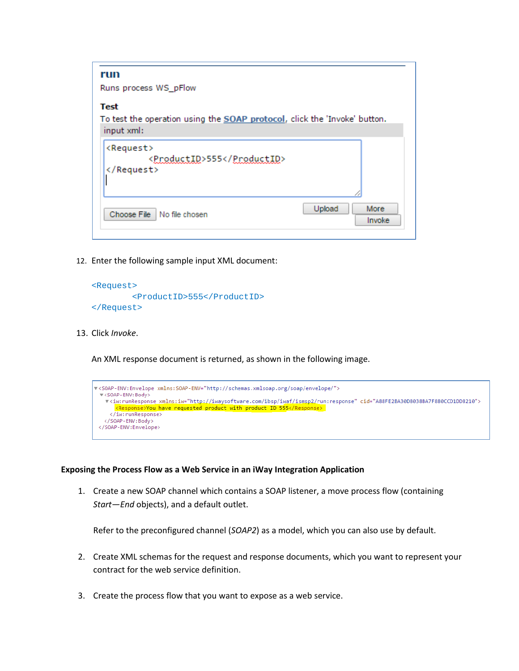| run                                                                       |
|---------------------------------------------------------------------------|
|                                                                           |
| Runs process WS_pFlow                                                     |
| Test                                                                      |
| To test the operation using the SOAP protocol, click the 'Invoke' button. |
| input xml:                                                                |
|                                                                           |
| <request></request>                                                       |
| <productid>555</productid>                                                |
|                                                                           |
|                                                                           |
|                                                                           |
| Upload<br>More                                                            |
| Choose File No file chosen<br>Invoke                                      |
|                                                                           |

12. Enter the following sample input XML document:

```
<Request>
         <ProductID>555</ProductID>
</Request>
```
13. Click *Invoke*.

An XML response document is returned, as shown in the following image.

```
V<SOAP-ENV:Envelope xmlns:SOAP-ENV="http://schemas.xmlsoap.org/soap/envelope/">
  ▼ <SOAP-ENV: Body>
   、<br>▼<iw:runResponse_xmlns:iw="http://iwaysoftware.com/ibsp/iwaf/ismsp2/run:response"_cid="A88FE2BA30D8038BA7F880CCD1DD8210"><br><mark><Response>You have_requested_product_with_product_ID_555</Response>_</mark>
      </iw:runResponse>
   </SOAP-ENV:Body>
 </SOAP-ENV:Envelope>
```
#### **Exposing the Process Flow as a Web Service in an iWay Integration Application**

1. Create a new SOAP channel which contains a SOAP listener, a move process flow (containing *Start*—*End* objects), and a default outlet.

Refer to the preconfigured channel (*SOAP2*) as a model, which you can also use by default.

- 2. Create XML schemas for the request and response documents, which you want to represent your contract for the web service definition.
- 3. Create the process flow that you want to expose as a web service.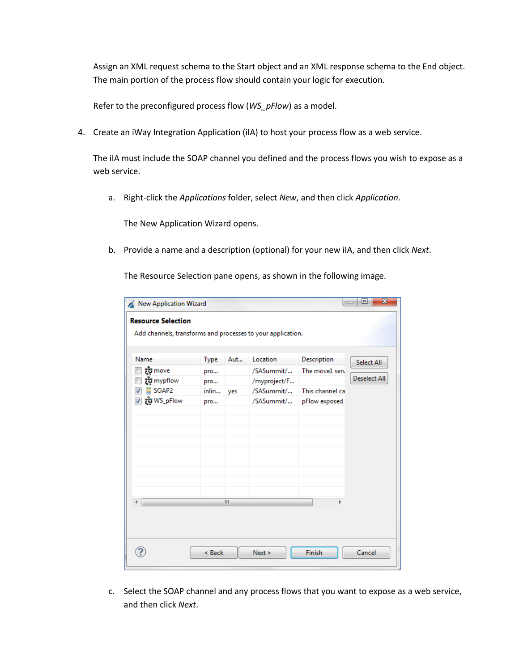Assign an XML request schema to the Start object and an XML response schema to the End object. The main portion of the process flow should contain your logic for execution.

Refer to the preconfigured process flow (*WS\_pFlow*) as a model.

4. Create an iWay Integration Application (iIA) to host your process flow as a web service.

The iIA must include the SOAP channel you defined and the process flows you wish to expose as a web service.

a. Right-click the *Applications* folder, select *New*, and then click *Application*.

The New Application Wizard opens.

b. Provide a name and a description (optional) for your new iIA, and then click *Next*.

The Resource Selection pane opens, as shown in the following image.

| New Application Wizard                                      |        |     |              |                 | $\overline{\mathbf{x}}$<br>⊟ |
|-------------------------------------------------------------|--------|-----|--------------|-----------------|------------------------------|
| <b>Resource Selection</b>                                   |        |     |              |                 |                              |
| Add channels, transforms and processes to your application. |        |     |              |                 |                              |
|                                                             |        |     |              |                 |                              |
| Name                                                        | Type   | Aut | Location     | Description     | Select All                   |
| ឃ្ជីំ៖ move                                                 | pro    |     | /SASummit/   | The move1 serv  |                              |
| က္လွီး mypflow                                              | pro    |     | /myproject/F |                 | <b>Deselect All</b>          |
| SOAP <sub>2</sub>                                           | inlin  | yes | /SASummit/   | This channel ca |                              |
| ☑ ඇwS_pFlow                                                 | pro    |     | /SASummit/   | pFlow exposed   |                              |
|                                                             |        |     |              |                 |                              |
|                                                             |        |     |              |                 |                              |
|                                                             |        |     |              |                 |                              |
|                                                             |        |     |              |                 |                              |
|                                                             |        |     |              |                 |                              |
|                                                             |        |     |              |                 |                              |
|                                                             |        |     |              |                 |                              |
|                                                             |        |     |              |                 |                              |
|                                                             |        | m.  |              | Þ               |                              |
|                                                             |        |     |              |                 |                              |
|                                                             |        |     |              |                 |                              |
|                                                             |        |     |              |                 |                              |
|                                                             |        |     |              |                 |                              |
|                                                             | < Back |     | Next >       | <b>Finish</b>   | Cancel                       |
|                                                             |        |     |              |                 |                              |

c. Select the SOAP channel and any process flows that you want to expose as a web service, and then click *Next*.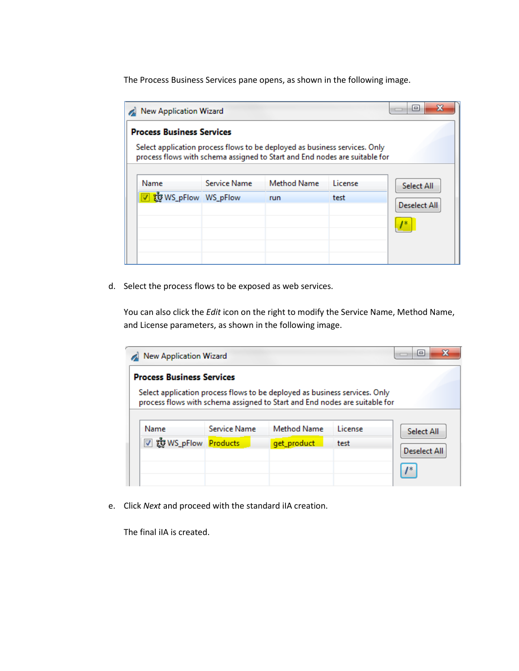The Process Business Services pane opens, as shown in the following image.

| x<br>e<br><b>New Application Wizard</b>                                                                                                                  |                     |             |         |                     |  |
|----------------------------------------------------------------------------------------------------------------------------------------------------------|---------------------|-------------|---------|---------------------|--|
| <b>Process Business Services</b>                                                                                                                         |                     |             |         |                     |  |
| Select application process flows to be deployed as business services. Only<br>process flows with schema assigned to Start and End nodes are suitable for |                     |             |         |                     |  |
| Name                                                                                                                                                     | <b>Service Name</b> | Method Name | License | <b>Select All</b>   |  |
| 饕WS_pFlow WS_pFlow                                                                                                                                       |                     | run         | test    | <b>Deselect All</b> |  |
|                                                                                                                                                          |                     |             |         |                     |  |
|                                                                                                                                                          |                     |             |         |                     |  |
|                                                                                                                                                          |                     |             |         |                     |  |
|                                                                                                                                                          |                     |             |         |                     |  |

d. Select the process flows to be exposed as web services.

You can also click the *Edit* icon on the right to modify the Service Name, Method Name, and License parameters, as shown in the following image.

| Select application process flows to be deployed as business services. Only |              |                    |         |              |
|----------------------------------------------------------------------------|--------------|--------------------|---------|--------------|
| process flows with schema assigned to Start and End nodes are suitable for |              |                    |         |              |
|                                                                            |              |                    |         |              |
| Name                                                                       | Service Name | <b>Method Name</b> | License | Select All   |
| ▽ 該 WS_pFlow Products                                                      |              | get_product        | test    |              |
|                                                                            |              |                    |         | Deselect All |

e. Click *Next* and proceed with the standard iIA creation.

The final iIA is created.